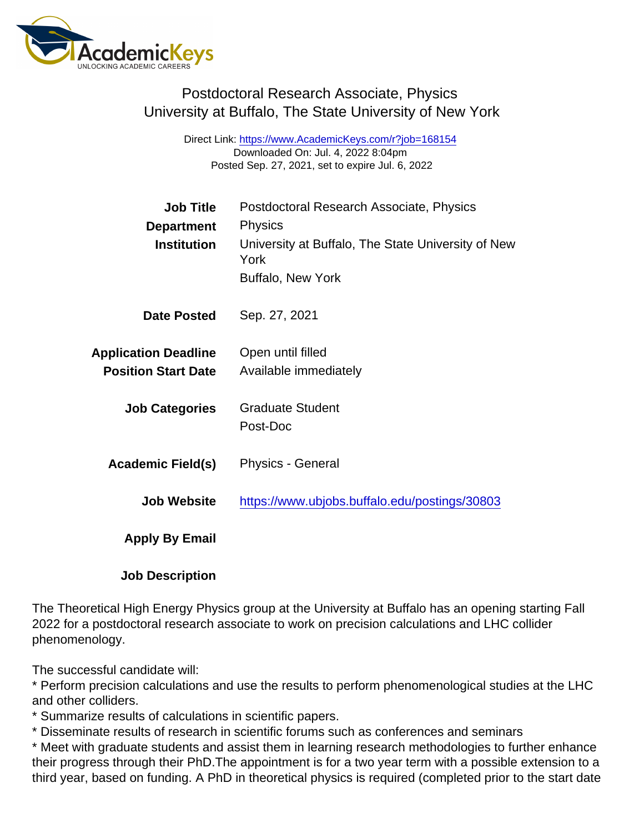## Postdoctoral Research Associate, Physics University at Buffalo, The State University of New York

Direct Link: <https://www.AcademicKeys.com/r?job=168154> Downloaded On: Jul. 4, 2022 8:04pm Posted Sep. 27, 2021, set to expire Jul. 6, 2022

| <b>Job Title</b>            | Postdoctoral Research Associate, Physics                   |
|-----------------------------|------------------------------------------------------------|
| Department                  | <b>Physics</b>                                             |
| Institution                 | University at Buffalo, The State University of New<br>York |
|                             | <b>Buffalo, New York</b>                                   |
| Date Posted                 | Sep. 27, 2021                                              |
| <b>Application Deadline</b> | Open until filled                                          |
| <b>Position Start Date</b>  | Available immediately                                      |
| <b>Job Categories</b>       | <b>Graduate Student</b>                                    |
|                             | Post-Doc                                                   |
| Academic Field(s)           | <b>Physics - General</b>                                   |
| <b>Job Website</b>          | https://www.ubjobs.buffalo.edu/postings/30803              |
| Apply By Email              |                                                            |
|                             |                                                            |

Job Description

The Theoretical High Energy Physics group at the University at Buffalo has an opening starting Fall 2022 for a postdoctoral research associate to work on precision calculations and LHC collider phenomenology.

The successful candidate will:

\* Perform precision calculations and use the results to perform phenomenological studies at the LHC and other colliders.

\* Summarize results of calculations in scientific papers.

\* Disseminate results of research in scientific forums such as conferences and seminars

\* Meet with graduate students and assist them in learning research methodologies to further enhance their progress through their PhD.The appointment is for a two year term with a possible extension to a third year, based on funding. A PhD in theoretical physics is required (completed prior to the start date